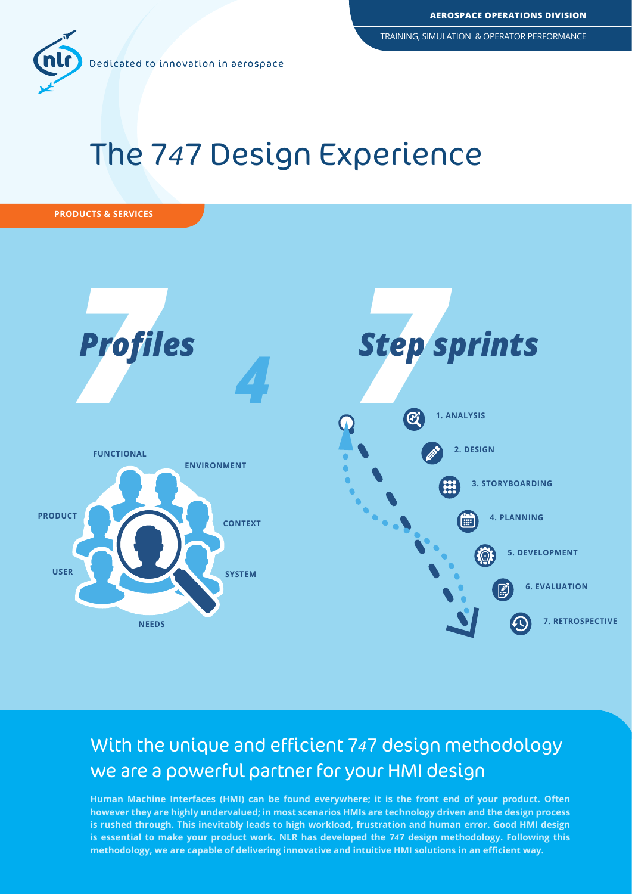TRAINING, SIMULATION & OPERATOR PERFORMANCE



# The 747 Design Experience





# With the unique and efficient 747 design methodology we are a powerful partner for your HMI design

**Human Machine Interfaces (HMI) can be found everywhere; it is the front end of your product. Often however they are highly undervalued; in most scenarios HMIs are technology driven and the design process is rushed through. This inevitably leads to high workload, frustration and human error. Good HMI design is essential to make your product work. NLR has developed the 7***4***7 design methodology. Following this methodology, we are capable of delivering innovative and intuitive HMI solutions in an efficient way.**